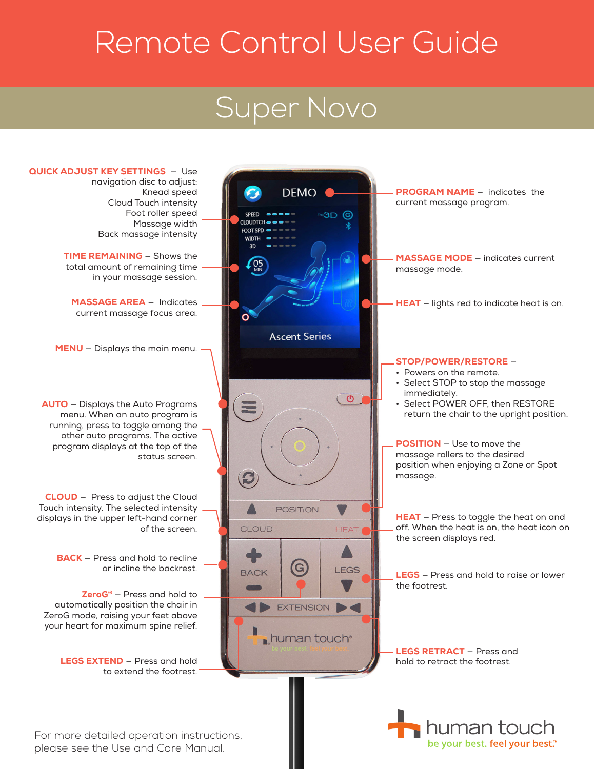# Remote Control User Guide

### Super Novo



be your best. feel your best.™

For more detailed operation instructions, please see the Use and Care Manual.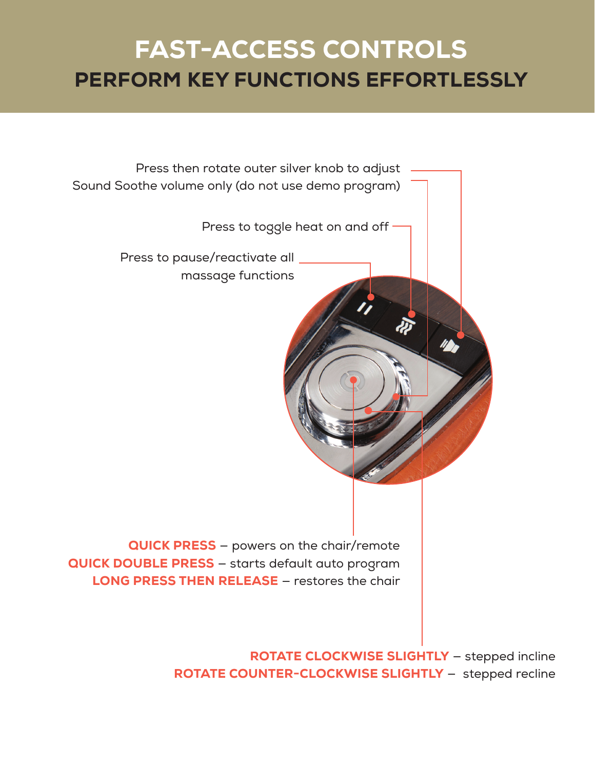#### FAST-ACCESS CONTROLS PERFORM KEY FUNCTIONS EFFORTLESSLY



ROTATE CLOCKWISE SLIGHTLY — stepped incline ROTATE COUNTER-CLOCKWISE SLIGHTLY — stepped recline